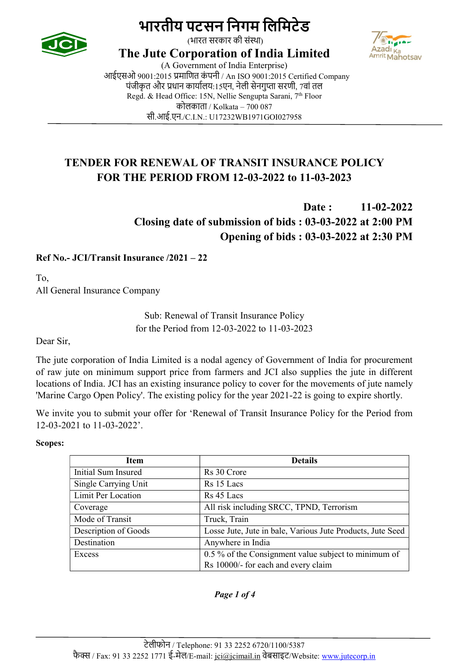



(भारत सरकार की सं̾था)

The Jute Corporation of India Limited

(A Government of India Enterprise) आईएसओ 9001:2015 प्रमाणित कंपनी / An ISO 9001:2015 Certified Company पंजीकृत और प्रधान कार्यालय:15एन, नेली सेनगुप्ता सरणी, 7वां तल Regd. & Head Office: 15N, Nellie Sengupta Sarani, 7<sup>th</sup> Floor कोलकाता / Kolkata – 700 087 सी.आई.एन./C.I.N.: U17232WB1971GOI027958

## TENDER FOR RENEWAL OF TRANSIT INSURANCE POLICY FOR THE PERIOD FROM 12-03-2022 to 11-03-2023

Date: 11-02-2022 Closing date of submission of bids : 03-03-2022 at 2:00 PM Opening of bids : 03-03-2022 at 2:30 PM

### Ref No.- JCI/Transit Insurance /2021 – 22

To, All General Insurance Company

> Sub: Renewal of Transit Insurance Policy for the Period from 12-03-2022 to 11-03-2023

Dear Sir,

The jute corporation of India Limited is a nodal agency of Government of India for procurement of raw jute on minimum support price from farmers and JCI also supplies the jute in different locations of India. JCI has an existing insurance policy to cover for the movements of jute namely 'Marine Cargo Open Policy'. The existing policy for the year 2021-22 is going to expire shortly.

We invite you to submit your offer for 'Renewal of Transit Insurance Policy for the Period from 12-03-2021 to 11-03-2022'.

Scopes:

| <b>Item</b>          | <b>Details</b>                                             |  |
|----------------------|------------------------------------------------------------|--|
| Initial Sum Insured  | Rs 30 Crore                                                |  |
| Single Carrying Unit | Rs 15 Lacs                                                 |  |
| Limit Per Location   | Rs 45 Lacs                                                 |  |
| Coverage             | All risk including SRCC, TPND, Terrorism                   |  |
| Mode of Transit      | Truck, Train                                               |  |
| Description of Goods | Losse Jute, Jute in bale, Various Jute Products, Jute Seed |  |
| Destination          | Anywhere in India                                          |  |
| Excess               | 0.5 % of the Consignment value subject to minimum of       |  |
|                      | Rs 10000/- for each and every claim                        |  |

#### Page 1 of 4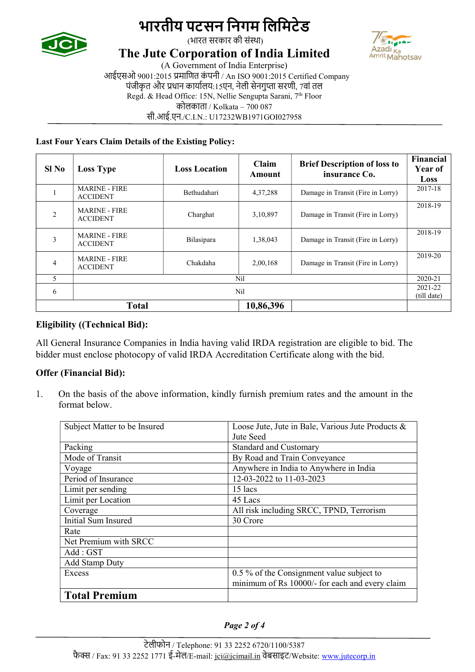



(भारत सरकार की सं̾था)

### The Jute Corporation of India Limited

(A Government of India Enterprise)

आईएसओ 9001:2015 प्रमाणित कंपनी / An ISO 9001:2015 Certified Company पंजीकृत और प्रधान कार्यालय:15एन, नेली सेनगुप्ता सरणी, 7वां तल Regd. & Head Office: 15N, Nellie Sengupta Sarani, 7<sup>th</sup> Floor कोलकाता / Kolkata – 700 087

सी.आई.एन./C.I.N.: U17232WB1971GOI027958

#### Last Four Years Claim Details of the Existing Policy:

| $SI$ No        | <b>Loss Type</b>                        | <b>Loss Location</b> | Claim<br>Amount | <b>Brief Description of loss to</b><br>insurance Co. | Financial<br>Year of<br>Loss |
|----------------|-----------------------------------------|----------------------|-----------------|------------------------------------------------------|------------------------------|
|                | <b>MARINE - FIRE</b><br><b>ACCIDENT</b> | Bethudahari          | 4, 37, 288      | Damage in Transit (Fire in Lorry)                    | 2017-18                      |
| $\mathfrak{D}$ | <b>MARINE - FIRE</b><br><b>ACCIDENT</b> | Charghat             | 3,10,897        | Damage in Transit (Fire in Lorry)                    | 2018-19                      |
| 3              | <b>MARINE - FIRE</b><br><b>ACCIDENT</b> | Bilasipara           | 1,38,043        | Damage in Transit (Fire in Lorry)                    | 2018-19                      |
| 4              | <b>MARINE - FIRE</b><br><b>ACCIDENT</b> | Chakdaha             | 2,00,168        | Damage in Transit (Fire in Lorry)                    | 2019-20                      |
| 5              | Nil                                     |                      |                 |                                                      | 2020-21                      |
| 6              | Nil                                     |                      |                 | 2021-22<br>(till date)                               |                              |
| <b>Total</b>   |                                         |                      | 10,86,396       |                                                      |                              |

### Eligibility ((Technical Bid):

All General Insurance Companies in India having valid IRDA registration are eligible to bid. The bidder must enclose photocopy of valid IRDA Accreditation Certificate along with the bid.

### Offer (Financial Bid):

1. On the basis of the above information, kindly furnish premium rates and the amount in the format below.

| Subject Matter to be Insured | Loose Jute, Jute in Bale, Various Jute Products & |  |  |
|------------------------------|---------------------------------------------------|--|--|
|                              | Jute Seed                                         |  |  |
| Packing                      | <b>Standard and Customary</b>                     |  |  |
| Mode of Transit              | By Road and Train Conveyance                      |  |  |
| Voyage                       | Anywhere in India to Anywhere in India            |  |  |
| Period of Insurance          | 12-03-2022 to 11-03-2023                          |  |  |
| Limit per sending            | $15$ lacs                                         |  |  |
| Limit per Location           | 45 Lacs                                           |  |  |
| Coverage                     | All risk including SRCC, TPND, Terrorism          |  |  |
| Initial Sum Insured          | 30 Crore                                          |  |  |
| Rate                         |                                                   |  |  |
| Net Premium with SRCC        |                                                   |  |  |
| Add : GST                    |                                                   |  |  |
| <b>Add Stamp Duty</b>        |                                                   |  |  |
| Excess                       | 0.5 % of the Consignment value subject to         |  |  |
|                              | minimum of Rs 10000/- for each and every claim    |  |  |
| <b>Total Premium</b>         |                                                   |  |  |

#### Page 2 of 4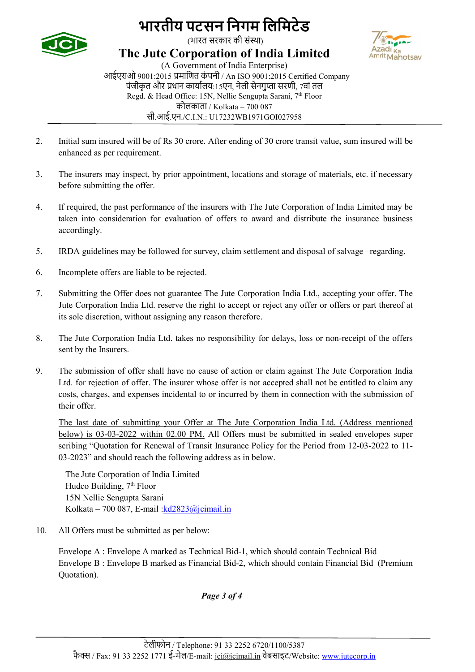



(भारत सरकार की सं̾था)

The Jute Corporation of India Limited

(A Government of India Enterprise) आईएसओ 9001:2015 प्रमाणित कंपनी / An ISO 9001:2015 Certified Company पंजीकृत और प्रधान कार्यालय:15एन, नेली सेनगुप्ता सरणी, 7वां तल Regd. & Head Office: 15N, Nellie Sengupta Sarani, 7<sup>th</sup> Floor कोलकाता / Kolkata – 700 087 सी.आई.एन./C.I.N.: U17232WB1971GOI027958

- 2. Initial sum insured will be of Rs 30 crore. After ending of 30 crore transit value, sum insured will be enhanced as per requirement.
- 3. The insurers may inspect, by prior appointment, locations and storage of materials, etc. if necessary before submitting the offer.
- 4. If required, the past performance of the insurers with The Jute Corporation of India Limited may be taken into consideration for evaluation of offers to award and distribute the insurance business accordingly.
- 5. IRDA guidelines may be followed for survey, claim settlement and disposal of salvage –regarding.
- 6. Incomplete offers are liable to be rejected.
- 7. Submitting the Offer does not guarantee The Jute Corporation India Ltd., accepting your offer. The Jute Corporation India Ltd. reserve the right to accept or reject any offer or offers or part thereof at its sole discretion, without assigning any reason therefore.
- 8. The Jute Corporation India Ltd. takes no responsibility for delays, loss or non-receipt of the offers sent by the Insurers.
- 9. The submission of offer shall have no cause of action or claim against The Jute Corporation India Ltd. for rejection of offer. The insurer whose offer is not accepted shall not be entitled to claim any costs, charges, and expenses incidental to or incurred by them in connection with the submission of their offer.

The last date of submitting your Offer at The Jute Corporation India Ltd. (Address mentioned below) is 03-03-2022 within 02.00 PM. All Offers must be submitted in sealed envelopes super scribing "Quotation for Renewal of Transit Insurance Policy for the Period from 12-03-2022 to 11- 03-2023" and should reach the following address as in below.

The Jute Corporation of India Limited Hudco Building,  $7<sup>th</sup>$  Floor 15N Nellie Sengupta Sarani Kolkata – 700 087, E-mail : $kd2823@$ jcimail.in

10. All Offers must be submitted as per below:

Envelope A : Envelope A marked as Technical Bid-1, which should contain Technical Bid Envelope B : Envelope B marked as Financial Bid-2, which should contain Financial Bid (Premium Quotation).

Page 3 of 4